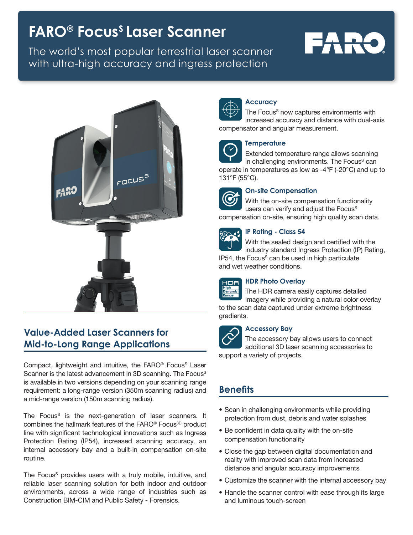# **FARO® Focus<sup>s</sup> Laser Scanner**

The world's most popular terrestrial laser scanner with ultra-high accuracy and ingress protection

# **FARO**



# **Value-Added Laser Scanners for Mid-to-Long Range Applications**

Compact, lightweight and intuitive, the FARO® Focus<sup>S</sup> Laser Scanner is the latest advancement in 3D scanning. The Focus<sup>S</sup> is available in two versions depending on your scanning range requirement: a long-range version (350m scanning radius) and a mid-range version (150m scanning radius).

The Focus<sup>s</sup> is the next-generation of laser scanners. It combines the hallmark features of the FARO® Focus<sup>3D</sup> product line with significant technological innovations such as Ingress Protection Rating (IP54), increased scanning accuracy, an internal accessory bay and a built-in compensation on-site routine.

The Focus<sup>s</sup> provides users with a truly mobile, intuitive, and reliable laser scanning solution for both indoor and outdoor environments, across a wide range of industries such as Construction BIM-CIM and Public Safety - Forensics.



# **Accuracy**

The Focus<sup>s</sup> now captures environments with increased accuracy and distance with dual-axis compensator and angular measurement.



# **Temperature**

Extended temperature range allows scanning in challenging environments. The Focus<sup>s</sup> can operate in temperatures as low as -4°F (-20°C) and up to 131°F (55°C).



# **On-site Compensation**

With the on-site compensation functionality users can verify and adjust the Focus<sup>s</sup> compensation on-site, ensuring high quality scan data.



## **IP Rating - Class 54**

With the sealed design and certified with the industry standard Ingress Protection (IP) Rating,  $IP54$ , the Focus $S$  can be used in high particulate and wet weather conditions.



# **HDR Photo Overlay**

The HDR camera easily captures detailed imagery while providing a natural color overlay to the scan data captured under extreme brightness gradients.



## **Accessory Bay**

The accessory bay allows users to connect additional 3D laser scanning accessories to support a variety of projects.

# **Benefits**

- Scan in challenging environments while providing protection from dust, debris and water splashes
- Be confident in data quality with the on-site compensation functionality
- Close the gap between digital documentation and reality with improved scan data from increased distance and angular accuracy improvements
- Customize the scanner with the internal accessory bay
- Handle the scanner control with ease through its large and luminous touch-screen